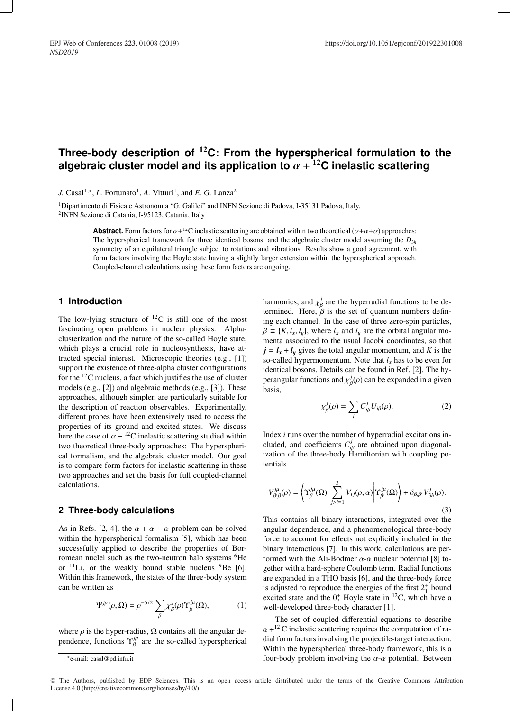# **Three-body description of** <sup>12</sup>**C: From the hyperspherical formulation to the algebraic cluster model and its application to**  $\alpha + {}^{12}C$  inelastic scattering

*J.* Casal<sup>1,\*</sup>, *L.* Fortunato<sup>1</sup>, *A.* Vitturi<sup>1</sup>, and *E. G.* Lanza<sup>2</sup>

1Dipartimento di Fisica e Astronomia "G. Galilei" and INFN Sezione di Padova, I-35131 Padova, Italy. 2INFN Sezione di Catania, I-95123, Catania, Italy

> **Abstract.** Form factors for  $\alpha + 12C$  inelastic scattering are obtained within two theoretical  $(\alpha + \alpha + \alpha)$  approaches: The hyperspherical framework for three identical bosons, and the algebraic cluster model assuming the  $D_{3h}$ symmetry of an equilateral triangle subject to rotations and vibrations. Results show a good agreement, with form factors involving the Hoyle state having a slightly larger extension within the hyperspherical approach. Coupled-channel calculations using these form factors are ongoing.

# **1 Introduction**

The low-lying structure of  $^{12}C$  is still one of the most fascinating open problems in nuclear physics. Alphaclusterization and the nature of the so-called Hoyle state, which plays a crucial role in nucleosynthesis, have attracted special interest. Microscopic theories (e.g., [1]) support the existence of three-alpha cluster configurations for the 12C nucleus, a fact which justifies the use of cluster models (e.g., [2]) and algebraic methods (e.g., [3]). These approaches, although simpler, are particularly suitable for the description of reaction observables. Experimentally, different probes have been extensively used to access the properties of its ground and excited states. We discuss here the case of  $\alpha + {}^{12}C$  inelastic scattering studied within two theoretical three-body approaches: The hyperspherical formalism, and the algebraic cluster model. Our goal is to compare form factors for inelastic scattering in these two approaches and set the basis for full coupled-channel calculations.

## **2 Three-body calculations**

As in Refs. [2, 4], the  $\alpha + \alpha + \alpha$  problem can be solved within the hyperspherical formalism [5], which has been successfully applied to describe the properties of Borromean nuclei such as the two-neutron halo systems <sup>6</sup>He or  $^{11}$ Li, or the weakly bound stable nucleus  $^{9}$ Be [6]. Within this framework, the states of the three-body system can be written as

$$
\Psi^{j\mu}(\rho,\Omega) = \rho^{-5/2} \sum_{\beta} \chi^j_{\beta}(\rho) \Upsilon^{j\mu}_{\beta}(\Omega), \tag{1}
$$

where  $\rho$  is the hyper-radius,  $\Omega$  contains all the angular dependence, functions  $\Upsilon_{\beta}^{j\mu}$  are the so-called hyperspherical

harmonics, and  $\chi^j_\beta$  are the hyperradial functions to be determined. Here,  $\beta$  is the set of quantum numbers defining each channel. In the case of three zero-spin particles,  $\beta \equiv \{K, l_x, l_y\}$ , where  $l_x$  and  $l_y$  are the orbital angular momenta associated to the usual Jacobi coordinates, so that  $j = l_x + l_y$  gives the total angular momentum, and *K* is the so-called hypermomentum. Note that  $l_x$  has to be even for identical bosons. Details can be found in Ref. [2]. The hyperangular functions and  $\chi^j_\beta(\rho)$  can be expanded in a given basis,

$$
\chi_{\beta}^{j}(\rho) = \sum_{i} C_{i\beta}^{j} U_{i\beta}(\rho). \tag{2}
$$

Index *i* runs over the number of hyperradial excitations included, and coefficients  $C^j_{i\beta}$  are obtained upon diagonalization of the three-body Hamiltonian with coupling potentials

$$
V_{\beta'\beta}^{j\mu}(\rho) = \left\langle \Upsilon_{\beta}^{j\mu}(\Omega) \middle| \sum_{j>i=1}^{3} V_{ij}(\rho, \alpha) \middle| \Upsilon_{\beta'}^{j\mu}(\Omega) \right\rangle + \delta_{\beta,\beta'} V_{3b}^{j}(\rho).
$$
\n(3)

This contains all binary interactions, integrated over the angular dependence, and a phenomenological three-body force to account for effects not explicitly included in the binary interactions [7]. In this work, calculations are performed with the Ali-Bodmer  $\alpha$ - $\alpha$  nuclear potential [8] together with a hard-sphere Coulomb term. Radial functions are expanded in a THO basis [6], and the three-body force is adjusted to reproduce the energies of the first  $2^+_1$  bound excited state and the  $0^+_2$  Hoyle state in <sup>12</sup>C, which have a well-developed three-body character [1].

The set of coupled differential equations to describe  $\alpha$ +<sup>12</sup> C inelastic scattering requires the computation of radial form factors involving the projectile-target interaction. Within the hyperspherical three-body framework, this is a four-body problem involving the  $\alpha$ - $\alpha$  potential. Between

© The Authors, published by EDP Sciences. This is an open access article distributed under the terms of the Creative Commons Attribution License 4.0 (http://creativecommons.org/licenses/by/4.0/).

<sup>∗</sup>e-mail: casal@pd.infn.it